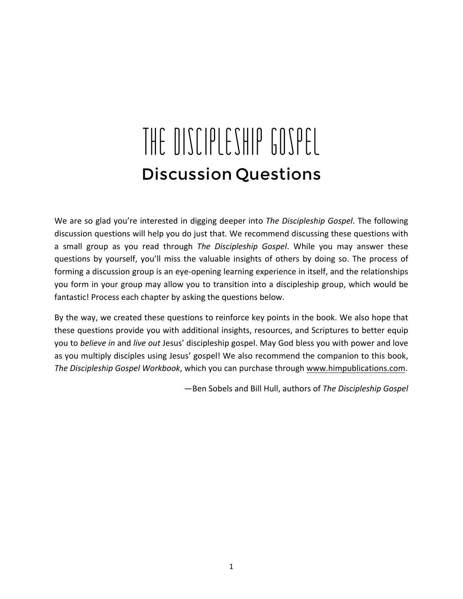# THE DISCIPLESHIP GOSPEL Discussion Questions

We are so glad you're interested in digging deeper into *The Discipleship Gospel*. The following discussion questions will help you do just that. We recommend discussing these questions with a small group as you read through *The Discipleship Gospel*. While you may answer these questions by yourself, you'll miss the valuable insights of others by doing so. The process of forming a discussion group is an eye-opening learning experience in itself, and the relationships you form in your group may allow you to transition into a discipleship group, which would be fantastic! Process each chapter by asking the questions below.

By the way, we created these questions to reinforce key points in the book. We also hope that these questions provide you with additional insights, resources, and Scriptures to better equip you to *believe in* and *live out* Jesus' discipleship gospel. May God bless you with power and love as you multiply disciples using Jesus' gospel! We also recommend the companion to this book, The Discipleship Gospel Workbook, which you can purchase through www.himpublications.com.

—Ben Sobels and Bill Hull, authors of *The Discipleship Gospel*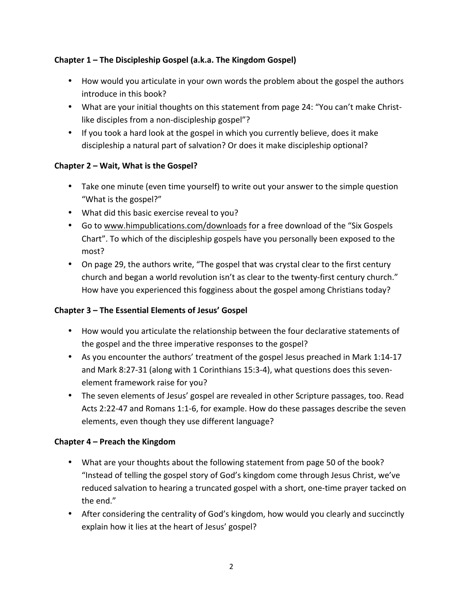## **Chapter 1 – The Discipleship Gospel (a.k.a. The Kingdom Gospel)**

- How would you articulate in your own words the problem about the gospel the authors introduce in this book?
- What are your initial thoughts on this statement from page 24: "You can't make Christlike disciples from a non-discipleship gospel"?
- If you took a hard look at the gospel in which you currently believe, does it make discipleship a natural part of salvation? Or does it make discipleship optional?

## **Chapter 2 – Wait, What is the Gospel?**

- Take one minute (even time yourself) to write out your answer to the simple question "What is the gospel?"
- What did this basic exercise reveal to you?
- Go to www.himpublications.com/downloads for a free download of the "Six Gospels" Chart". To which of the discipleship gospels have you personally been exposed to the most?
- On page 29, the authors write, "The gospel that was crystal clear to the first century church and began a world revolution isn't as clear to the twenty-first century church." How have you experienced this fogginess about the gospel among Christians today?

## **Chapter 3 – The Essential Elements of Jesus' Gospel**

- How would you articulate the relationship between the four declarative statements of the gospel and the three imperative responses to the gospel?
- As you encounter the authors' treatment of the gospel Jesus preached in Mark 1:14-17 and Mark 8:27-31 (along with 1 Corinthians 15:3-4), what questions does this sevenelement framework raise for you?
- The seven elements of Jesus' gospel are revealed in other Scripture passages, too. Read Acts 2:22-47 and Romans 1:1-6, for example. How do these passages describe the seven elements, even though they use different language?

#### **Chapter 4 – Preach the Kingdom**

- What are your thoughts about the following statement from page 50 of the book? "Instead of telling the gospel story of God's kingdom come through Jesus Christ, we've reduced salvation to hearing a truncated gospel with a short, one-time prayer tacked on the end."
- After considering the centrality of God's kingdom, how would you clearly and succinctly explain how it lies at the heart of Jesus' gospel?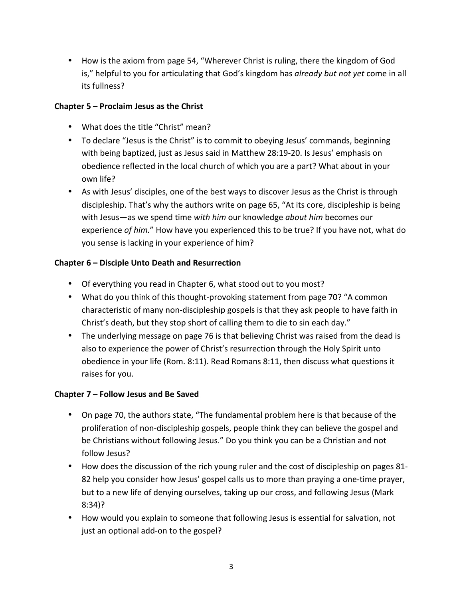• How is the axiom from page 54, "Wherever Christ is ruling, there the kingdom of God is," helpful to you for articulating that God's kingdom has *already but not yet* come in all its fullness?

## **Chapter 5 – Proclaim Jesus as the Christ**

- What does the title "Christ" mean?
- To declare "Jesus is the Christ" is to commit to obeying Jesus' commands, beginning with being baptized, just as Jesus said in Matthew 28:19-20. Is Jesus' emphasis on obedience reflected in the local church of which you are a part? What about in your own life?
- As with Jesus' disciples, one of the best ways to discover Jesus as the Christ is through discipleship. That's why the authors write on page 65, "At its core, discipleship is being with Jesus—as we spend time with him our knowledge *about him* becomes our experience of him." How have you experienced this to be true? If you have not, what do you sense is lacking in your experience of him?

## **Chapter 6 – Disciple Unto Death and Resurrection**

- Of everything you read in Chapter 6, what stood out to you most?
- What do you think of this thought-provoking statement from page 70? "A common characteristic of many non-discipleship gospels is that they ask people to have faith in Christ's death, but they stop short of calling them to die to sin each day."
- The underlying message on page 76 is that believing Christ was raised from the dead is also to experience the power of Christ's resurrection through the Holy Spirit unto obedience in your life (Rom. 8:11). Read Romans 8:11, then discuss what questions it raises for you.

#### **Chapter 7 – Follow Jesus and Be Saved**

- On page 70, the authors state, "The fundamental problem here is that because of the proliferation of non-discipleship gospels, people think they can believe the gospel and be Christians without following Jesus." Do you think you can be a Christian and not follow Jesus?
- How does the discussion of the rich young ruler and the cost of discipleship on pages 81-82 help you consider how Jesus' gospel calls us to more than praying a one-time prayer, but to a new life of denying ourselves, taking up our cross, and following Jesus (Mark 8:34)?
- How would you explain to someone that following Jesus is essential for salvation, not just an optional add-on to the gospel?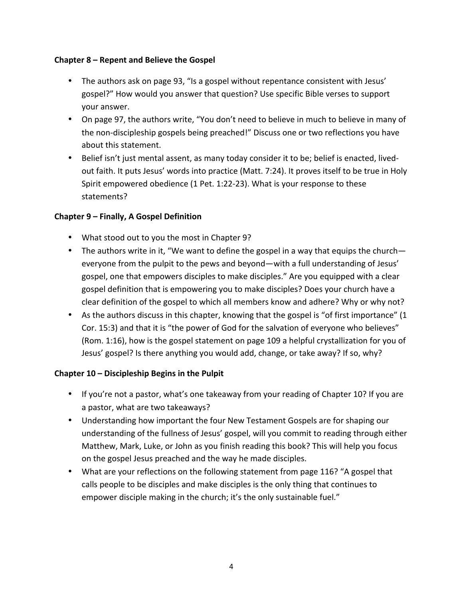#### **Chapter 8 – Repent and Believe the Gospel**

- The authors ask on page 93, "Is a gospel without repentance consistent with Jesus' gospel?" How would you answer that question? Use specific Bible verses to support your answer.
- On page 97, the authors write, "You don't need to believe in much to believe in many of the non-discipleship gospels being preached!" Discuss one or two reflections you have about this statement.
- Belief isn't just mental assent, as many today consider it to be; belief is enacted, livedout faith. It puts Jesus' words into practice (Matt. 7:24). It proves itself to be true in Holy Spirit empowered obedience (1 Pet. 1:22-23). What is your response to these statements?

#### **Chapter 9 – Finally, A Gospel Definition**

- What stood out to you the most in Chapter 9?
- The authors write in it, "We want to define the gospel in a way that equips the church everyone from the pulpit to the pews and beyond—with a full understanding of Jesus' gospel, one that empowers disciples to make disciples." Are you equipped with a clear gospel definition that is empowering you to make disciples? Does your church have a clear definition of the gospel to which all members know and adhere? Why or why not?
- As the authors discuss in this chapter, knowing that the gospel is "of first importance"  $(1$ Cor. 15:3) and that it is "the power of God for the salvation of everyone who believes" (Rom. 1:16), how is the gospel statement on page 109 a helpful crystallization for you of Jesus' gospel? Is there anything you would add, change, or take away? If so, why?

#### **Chapter 10 – Discipleship Begins in the Pulpit**

- If you're not a pastor, what's one takeaway from your reading of Chapter 10? If you are a pastor, what are two takeaways?
- Understanding how important the four New Testament Gospels are for shaping our understanding of the fullness of Jesus' gospel, will you commit to reading through either Matthew, Mark, Luke, or John as you finish reading this book? This will help you focus on the gospel Jesus preached and the way he made disciples.
- What are your reflections on the following statement from page 116? "A gospel that calls people to be disciples and make disciples is the only thing that continues to empower disciple making in the church; it's the only sustainable fuel."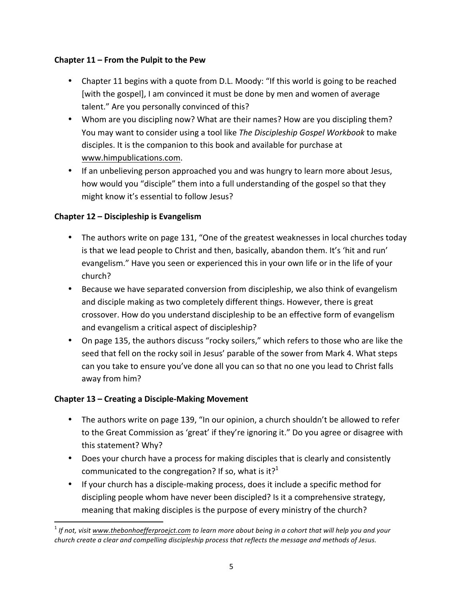#### **Chapter 11 – From the Pulpit to the Pew**

- Chapter 11 begins with a quote from D.L. Moody: "If this world is going to be reached [with the gospel], I am convinced it must be done by men and women of average talent." Are you personally convinced of this?
- Whom are you discipling now? What are their names? How are you discipling them? You may want to consider using a tool like The Discipleship Gospel Workbook to make disciples. It is the companion to this book and available for purchase at www.himpublications.com.
- If an unbelieving person approached you and was hungry to learn more about Jesus, how would you "disciple" them into a full understanding of the gospel so that they might know it's essential to follow Jesus?

## **Chapter 12 – Discipleship is Evangelism**

- The authors write on page 131, "One of the greatest weaknesses in local churches today is that we lead people to Christ and then, basically, abandon them. It's 'hit and run' evangelism." Have you seen or experienced this in your own life or in the life of your church?
- Because we have separated conversion from discipleship, we also think of evangelism and disciple making as two completely different things. However, there is great crossover. How do you understand discipleship to be an effective form of evangelism and evangelism a critical aspect of discipleship?
- On page 135, the authors discuss "rocky soilers," which refers to those who are like the seed that fell on the rocky soil in Jesus' parable of the sower from Mark 4. What steps can you take to ensure you've done all you can so that no one you lead to Christ falls away from him?

## **Chapter 13 – Creating a Disciple-Making Movement**

- The authors write on page 139, "In our opinion, a church shouldn't be allowed to refer to the Great Commission as 'great' if they're ignoring it." Do you agree or disagree with this statement? Why?
- Does your church have a process for making disciples that is clearly and consistently communicated to the congregation? If so, what is it?<sup>1</sup>
- If your church has a disciple-making process, does it include a specific method for discipling people whom have never been discipled? Is it a comprehensive strategy, meaning that making disciples is the purpose of every ministry of the church?

<sup>&</sup>lt;u> 1989 - Johann Stein, markin film yn y breninn y breninn y breninn y breninn y breninn y breninn y breninn y b</u>  $<sup>1</sup>$  If not, visit www.thebonhoefferproejct.com to learn more about being in a cohort that will help you and your</sup> *church create a clear and compelling discipleship process that reflects the message and methods of Jesus.*